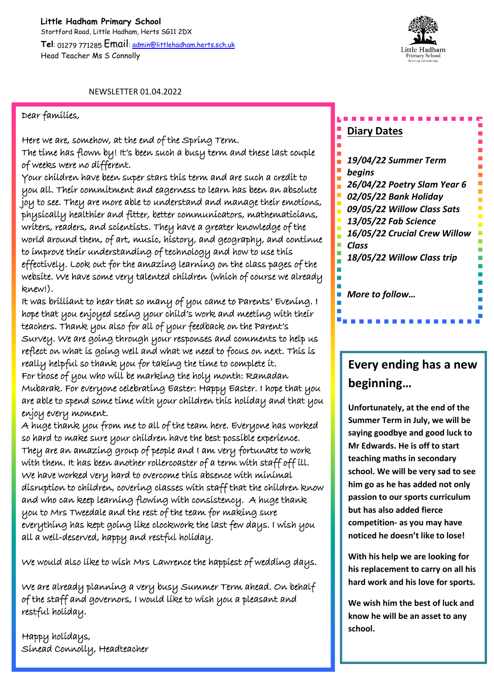**Little Hadham Primary School** Stortford Road, Little Hadham, Herts SG11 2DX **Tel**: 01279 771285 Email: admin@littlehadham.herts.sch.uk Head Teacher Ms S Connolly



NEWSLETTER 01.04.2022

## Dear families,

Here we are, somehow, at the end of the Spring Term. The time has flown by! It's been such a busy term and these last couple of weeks were no different.

Your children have been super stars this term and are such a credit to you all. Their commitment and eagerness to learn has been an absolute joy to see. They are more able to understand and manage their emotions, physically healthier and fitter, better communicators, mathematicians, writers, readers, and scientists. They have a greater knowledge of the world around them, of art, music, history, and geography, and continue to improve their understanding of technology and how to use this effectively. Look out for the amazing learning on the class pages of the website. We have some very talented children (which of course we already knew!).

It was brilliant to hear that so many of you came to Parents' Evening. I hope that you enjoyed seeing your child's work and meeting with their teachers. Thank you also for all of your feedback on the Parent's Survey. We are going through your responses and comments to help us reflect on what is going well and what we need to focus on next. This is really helpful so thank you for taking the time to complete it. For those of you who will be marking the holy month: Ramadan Mubarak. For everyone celebrating Easter: Happy Easter. I hope that you are able to spend some time with your children this holiday and that you enjoy every moment.

A huge thank you from me to all of the team here. Everyone has worked so hard to make sure your children have the best possible experience. They are an amazing group of people and I am very fortunate to work with them. It has been another rollercoaster of a term with staff off ill. We have worked very hard to overcome this absence with minimal disruption to children, covering classes with staff that the children know and who can keep learning flowing with consistency. A huge thank you to Mrs Tweedale and the rest of the team for making sure everything has kept going like clockwork the last few days. I wish you all a well-deserved, happy and restful holiday.

We would also like to wish Mrs Lawrence the happiest of wedding days.

We are already planning a very busy Summer Term ahead. On behalf of the staff and governors, I would like to wish you a pleasant and restful holiday.

Happy holidays, Sinead Connolly, Headteacher

## **Diary Dates**

*19/04/22 Summer Term begins 26/04/22 Poetry Slam Year 6 02/05/22 Bank Holiday 09/05/22 Willow Class Sats 13/05/22 Fab Science 16/05/22 Crucial Crew Willow Class 18/05/22 Willow Class trip More to follow…*

## **Every ending has a new beginning…**

**Unfortunately, at the end of the Summer Term in July, we will be saying goodbye and good luck to Mr Edwards. He is off to start teaching maths in secondary school. We will be very sad to see him go as he has added not only passion to our sports curriculum but has also added fierce competition- as you may have noticed he doesn't like to lose!**

**With his help we are looking for his replacement to carry on all his hard work and his love for sports.**

**We wish him the best of luck and know he will be an asset to any school.**